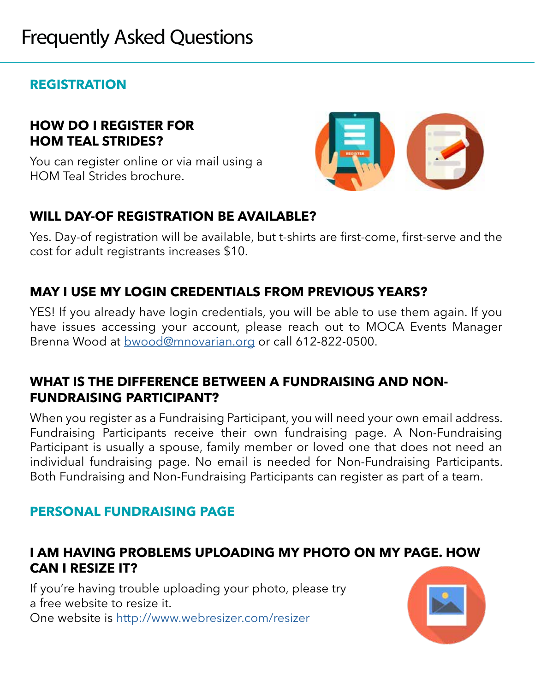# **REGISTRATION**

## **HOW DO I REGISTER FOR HOM TEAL STRIDES?**

You can register online or via mail using a HOM Teal Strides brochure.



## **WILL DAY-OF REGISTRATION BE AVAILABLE?**

Yes. Day-of registration will be available, but t-shirts are first-come, first-serve and the cost for adult registrants increases \$10.

# **MAY I USE MY LOGIN CREDENTIALS FROM PREVIOUS YEARS?**

YES! If you already have login credentials, you will be able to use them again. If you have issues accessing your account, please reach out to MOCA Events Manager Brenna Wood at [bwood@mnovarian.org](mailto:bwood%40mnovarian.org?subject=Login%20help) or call 612-822-0500.

## **WHAT IS THE DIFFERENCE BETWEEN A FUNDRAISING AND NON-FUNDRAISING PARTICIPANT?**

When you register as a Fundraising Participant, you will need your own email address. Fundraising Participants receive their own fundraising page. A Non-Fundraising Participant is usually a spouse, family member or loved one that does not need an individual fundraising page. No email is needed for Non-Fundraising Participants. Both Fundraising and Non-Fundraising Participants can register as part of a team.

# **PERSONAL FUNDRAISING PAGE**

## **I AM HAVING PROBLEMS UPLOADING MY PHOTO ON MY PAGE. HOW CAN I RESIZE IT?**

If you're having trouble uploading your photo, please try a free website to resize it. One website is <http://www.webresizer.com/resizer>

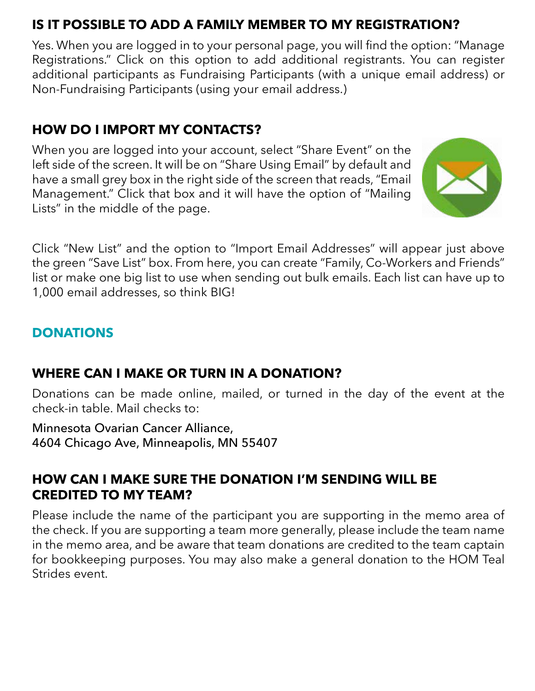# **IS IT POSSIBLE TO ADD A FAMILY MEMBER TO MY REGISTRATION?**

Yes. When you are logged in to your personal page, you will find the option: "Manage Registrations." Click on this option to add additional registrants. You can register additional participants as Fundraising Participants (with a unique email address) or Non-Fundraising Participants (using your email address.)

# **HOW DO I IMPORT MY CONTACTS?**

When you are logged into your account, select "Share Event" on the left side of the screen. It will be on "Share Using Email" by default and have a small grey box in the right side of the screen that reads, "Email Management." Click that box and it will have the option of "Mailing Lists" in the middle of the page.



Click "New List" and the option to "Import Email Addresses" will appear just above the green "Save List" box. From here, you can create "Family, Co-Workers and Friends" list or make one big list to use when sending out bulk emails. Each list can have up to 1,000 email addresses, so think BIG!

# **DONATIONS**

# **WHERE CAN I MAKE OR TURN IN A DONATION?**

Donations can be made online, mailed, or turned in the day of the event at the check-in table. Mail checks to:

Minnesota Ovarian Cancer Alliance, 4604 Chicago Ave, Minneapolis, MN 55407

# **HOW CAN I MAKE SURE THE DONATION I'M SENDING WILL BE CREDITED TO MY TEAM?**

Please include the name of the participant you are supporting in the memo area of the check. If you are supporting a team more generally, please include the team name in the memo area, and be aware that team donations are credited to the team captain for bookkeeping purposes. You may also make a general donation to the HOM Teal Strides event.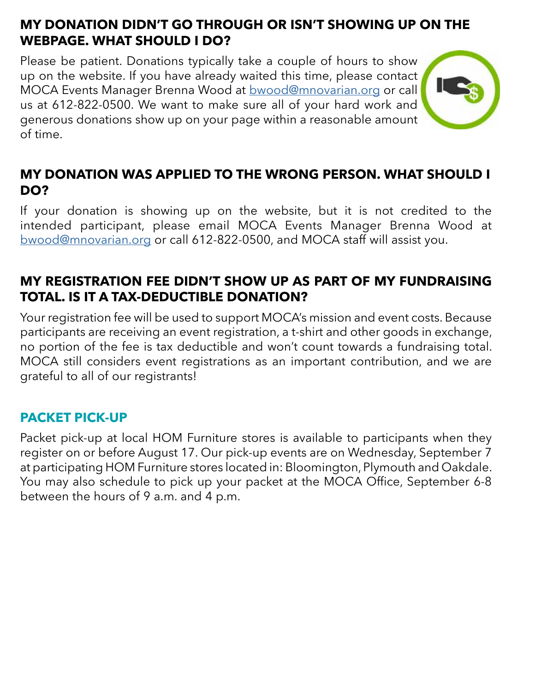## **MY DONATION DIDN'T GO THROUGH OR ISN'T SHOWING UP ON THE WEBPAGE. WHAT SHOULD I DO?**

Please be patient. Donations typically take a couple of hours to show up on the website. If you have already waited this time, please contact MOCA Events Manager Brenna Wood at [bwood@mnovarian.org](mailto:bwood%40mnovarian.org?subject=Donation%20issue) or call us at 612-822-0500. We want to make sure all of your hard work and generous donations show up on your page within a reasonable amount of time.



## **MY DONATION WAS APPLIED TO THE WRONG PERSON. WHAT SHOULD I DO?**

If your donation is showing up on the website, but it is not credited to the intended participant, please email MOCA Events Manager Brenna Wood at [bwood@mnovarian.org](mailto:bwood%40mnovarian.org?subject=I%20need%20to%20move%20my%20donation) or call 612-822-0500, and MOCA staff will assist you.

## **MY REGISTRATION FEE DIDN'T SHOW UP AS PART OF MY FUNDRAISING TOTAL. IS IT A TAX-DEDUCTIBLE DONATION?**

Your registration fee will be used to support MOCA's mission and event costs. Because participants are receiving an event registration, a t-shirt and other goods in exchange, no portion of the fee is tax deductible and won't count towards a fundraising total. MOCA still considers event registrations as an important contribution, and we are grateful to all of our registrants!

#### **PACKET PICK-UP**

Packet pick-up at local HOM Furniture stores is available to participants when they register on or before August 17. Our pick-up events are on Wednesday, September 7 at participating HOM Furniture stores located in: Bloomington, Plymouth and Oakdale. You may also schedule to pick up your packet at the MOCA Office, September 6-8 between the hours of 9 a.m. and 4 p.m.